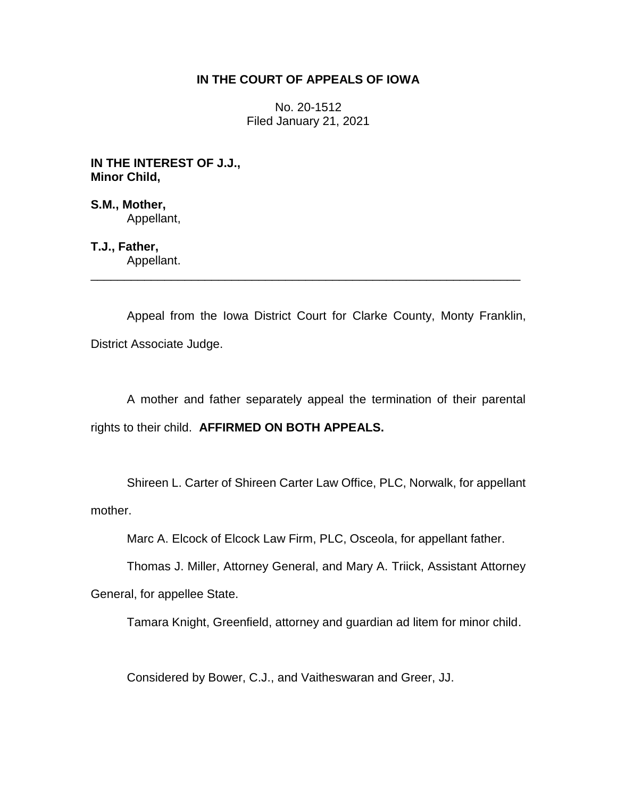# **IN THE COURT OF APPEALS OF IOWA**

No. 20-1512 Filed January 21, 2021

**IN THE INTEREST OF J.J., Minor Child,**

**S.M., Mother,** Appellant,

**T.J., Father,**

Appellant. \_\_\_\_\_\_\_\_\_\_\_\_\_\_\_\_\_\_\_\_\_\_\_\_\_\_\_\_\_\_\_\_\_\_\_\_\_\_\_\_\_\_\_\_\_\_\_\_\_\_\_\_\_\_\_\_\_\_\_\_\_\_\_\_

Appeal from the Iowa District Court for Clarke County, Monty Franklin, District Associate Judge.

A mother and father separately appeal the termination of their parental rights to their child. **AFFIRMED ON BOTH APPEALS.**

Shireen L. Carter of Shireen Carter Law Office, PLC, Norwalk, for appellant mother.

Marc A. Elcock of Elcock Law Firm, PLC, Osceola, for appellant father.

Thomas J. Miller, Attorney General, and Mary A. Triick, Assistant Attorney

General, for appellee State.

Tamara Knight, Greenfield, attorney and guardian ad litem for minor child.

Considered by Bower, C.J., and Vaitheswaran and Greer, JJ.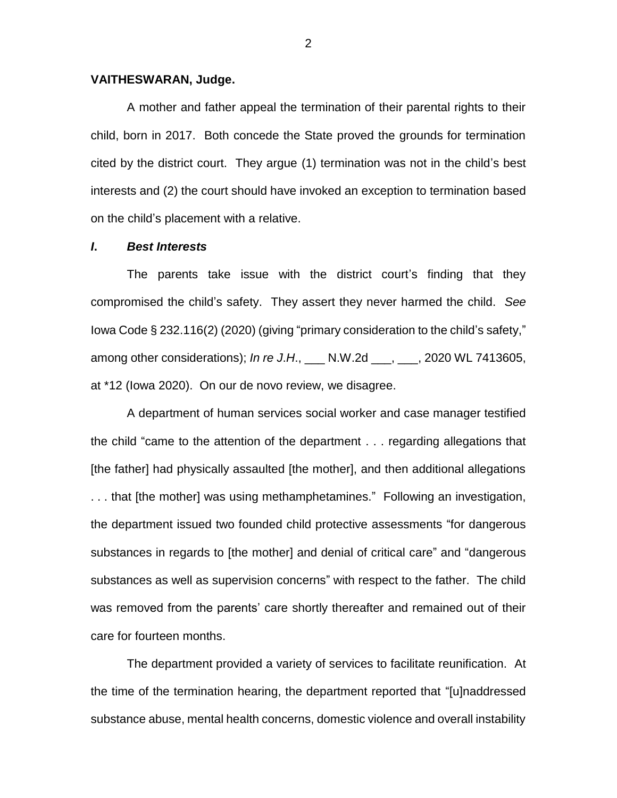#### **VAITHESWARAN, Judge.**

A mother and father appeal the termination of their parental rights to their child, born in 2017. Both concede the State proved the grounds for termination cited by the district court. They argue (1) termination was not in the child's best interests and (2) the court should have invoked an exception to termination based on the child's placement with a relative.

## *I***.** *Best Interests*

The parents take issue with the district court's finding that they compromised the child's safety. They assert they never harmed the child. *See*  Iowa Code § 232.116(2) (2020) (giving "primary consideration to the child's safety," among other considerations); *In re J.H.*, \_\_\_ N.W.2d \_\_\_, \_\_\_, 2020 WL 7413605, at \*12 (Iowa 2020). On our de novo review, we disagree.

A department of human services social worker and case manager testified the child "came to the attention of the department . . . regarding allegations that [the father] had physically assaulted [the mother], and then additional allegations . . . that [the mother] was using methamphetamines." Following an investigation, the department issued two founded child protective assessments "for dangerous substances in regards to [the mother] and denial of critical care" and "dangerous substances as well as supervision concerns" with respect to the father. The child was removed from the parents' care shortly thereafter and remained out of their care for fourteen months.

The department provided a variety of services to facilitate reunification. At the time of the termination hearing, the department reported that "[u]naddressed substance abuse, mental health concerns, domestic violence and overall instability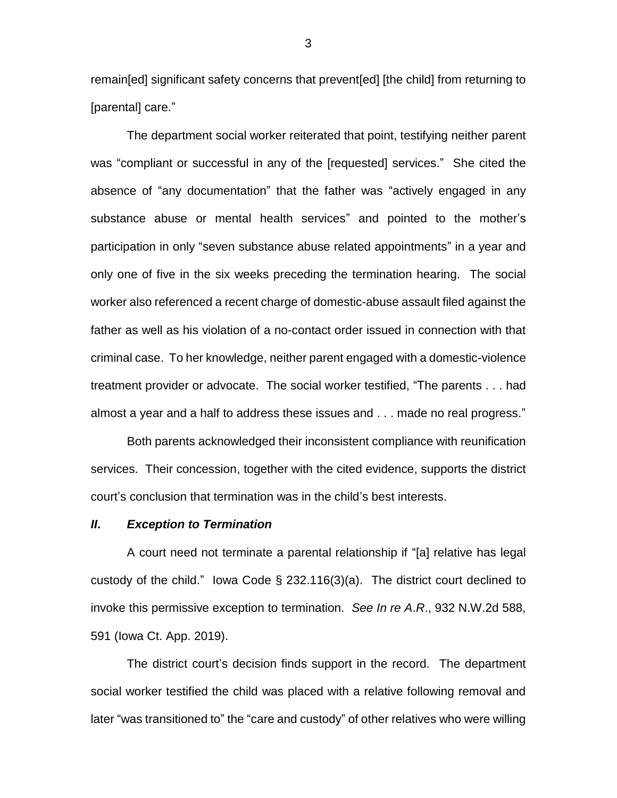remain[ed] significant safety concerns that prevent[ed] [the child] from returning to [parental] care."

The department social worker reiterated that point, testifying neither parent was "compliant or successful in any of the [requested] services." She cited the absence of "any documentation" that the father was "actively engaged in any substance abuse or mental health services" and pointed to the mother's participation in only "seven substance abuse related appointments" in a year and only one of five in the six weeks preceding the termination hearing. The social worker also referenced a recent charge of domestic-abuse assault filed against the father as well as his violation of a no-contact order issued in connection with that criminal case. To her knowledge, neither parent engaged with a domestic-violence treatment provider or advocate. The social worker testified, "The parents . . . had almost a year and a half to address these issues and . . . made no real progress."

Both parents acknowledged their inconsistent compliance with reunification services. Their concession, together with the cited evidence, supports the district court's conclusion that termination was in the child's best interests.

#### *II***.** *Exception to Termination*

A court need not terminate a parental relationship if "[a] relative has legal custody of the child." Iowa Code § 232.116(3)(a). The district court declined to invoke this permissive exception to termination. *See In re A*.*R*., 932 N.W.2d 588, 591 (Iowa Ct. App. 2019).

The district court's decision finds support in the record. The department social worker testified the child was placed with a relative following removal and later "was transitioned to" the "care and custody" of other relatives who were willing

3